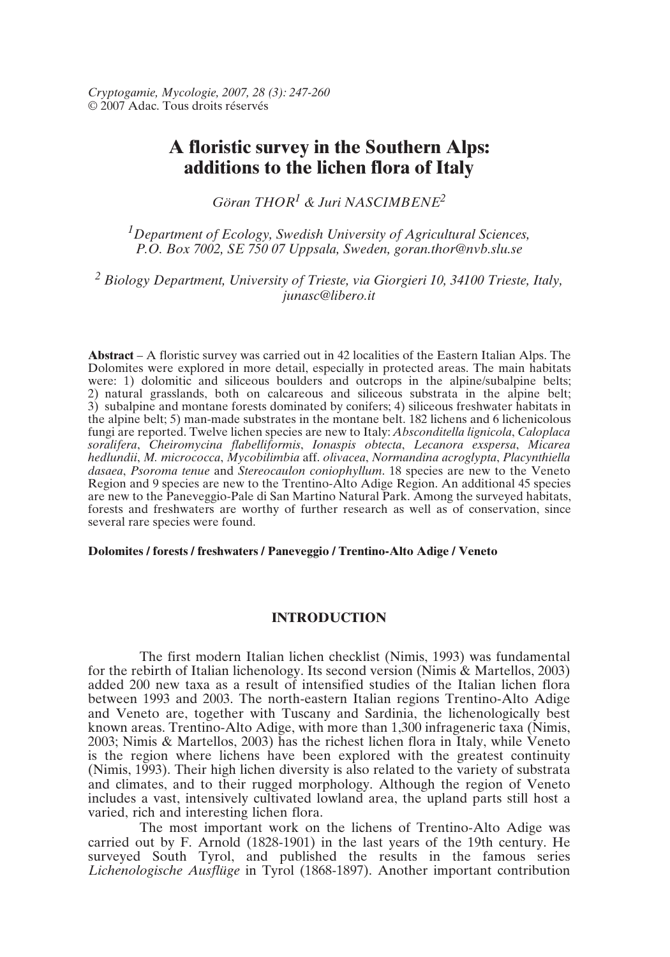# **A floristic survey in the Southern Alps: additions to the lichen flora of Italy**

*Göran THOR1 & Juri NASCIMBENE2*

*1Department of Ecology, Swedish University of Agricultural Sciences, P.O. Box 7002, SE 750 07 Uppsala, Sweden, goran.thor@nvb.slu.se*

*<sup>2</sup> Biology Department, University of Trieste, via Giorgieri 10, 34100 Trieste, Italy, junasc@libero.it*

**Abstract** – A floristic survey was carried out in 42 localities of the Eastern Italian Alps. The Dolomites were explored in more detail, especially in protected areas. The main habitats were: 1) dolomitic and siliceous boulders and outcrops in the alpine/subalpine belts; 2) natural grasslands, both on calcareous and siliceous substrata in the alpine belt; 3) subalpine and montane forests dominated by conifers; 4) siliceous freshwater habitats in the alpine belt; 5) man-made substrates in the montane belt. 182 lichens and 6 lichenicolous fungi are reported. Twelve lichen species are new to Italy: *Absconditella lignicola*, *Caloplaca soralifera*, *Cheiromycina flabelliformis*, *Ionaspis obtecta*, *Lecanora exspersa*, *Micarea hedlundii*, *M. micrococca*, *Mycobilimbia* aff. *olivacea*, *Normandina acroglypta*, *Placynthiella dasaea*, *Psoroma tenue* and *Stereocaulon coniophyllum*. 18 species are new to the Veneto Region and 9 species are new to the Trentino-Alto Adige Region. An additional 45 species are new to the Paneveggio-Pale di San Martino Natural Park. Among the surveyed habitats, forests and freshwaters are worthy of further research as well as of conservation, since several rare species were found.

#### **Dolomites / forests / freshwaters / Paneveggio / Trentino-Alto Adige / Veneto**

# **INTRODUCTION**

The first modern Italian lichen checklist (Nimis, 1993) was fundamental for the rebirth of Italian lichenology. Its second version (Nimis & Martellos, 2003) added 200 new taxa as a result of intensified studies of the Italian lichen flora between 1993 and 2003. The north-eastern Italian regions Trentino-Alto Adige and Veneto are, together with Tuscany and Sardinia, the lichenologically best known areas. Trentino-Alto Adige, with more than 1,300 infrageneric taxa (Nimis, 2003; Nimis & Martellos, 2003) has the richest lichen flora in Italy, while Veneto is the region where lichens have been explored with the greatest continuity (Nimis, 1993). Their high lichen diversity is also related to the variety of substrata and climates, and to their rugged morphology. Although the region of Veneto includes a vast, intensively cultivated lowland area, the upland parts still host a varied, rich and interesting lichen flora.

The most important work on the lichens of Trentino-Alto Adige was carried out by F. Arnold (1828-1901) in the last years of the 19th century. He surveyed South Tyrol, and published the results in the famous series *Lichenologische Ausflüge* in Tyrol (1868-1897). Another important contribution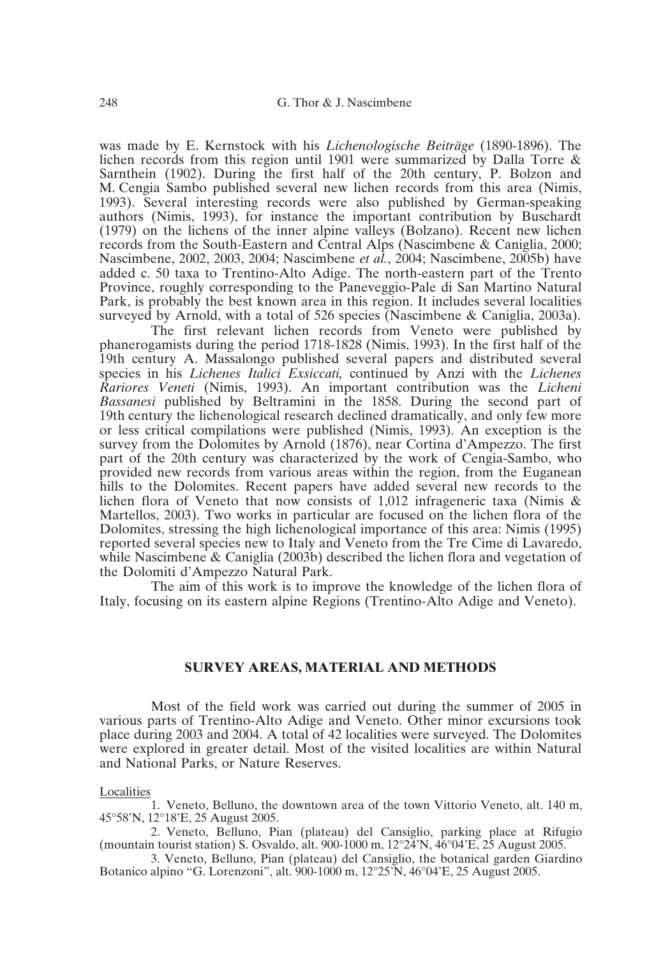was made by E. Kernstock with his *Lichenologische Beiträge* (1890-1896). The lichen records from this region until 1901 were summarized by Dalla Torre & Sarnthein (1902). During the first half of the 20th century, P. Bolzon and M. Cengia Sambo published several new lichen records from this area (Nimis, 1993). Several interesting records were also published by German-speaking authors (Nimis, 1993), for instance the important contribution by Buschardt (1979) on the lichens of the inner alpine valleys (Bolzano). Recent new lichen records from the South-Eastern and Central Alps (Nascimbene & Caniglia, 2000; Nascimbene, 2002, 2003, 2004; Nascimbene *et al.*, 2004; Nascimbene, 2005b) have added c. 50 taxa to Trentino-Alto Adige. The north-eastern part of the Trento Province, roughly corresponding to the Paneveggio-Pale di San Martino Natural Park, is probably the best known area in this region. It includes several localities surveyed by Arnold, with a total of 526 species (Nascimbene & Caniglia, 2003a).

The first relevant lichen records from Veneto were published by phanerogamists during the period 1718-1828 (Nimis, 1993). In the first half of the 19th century A. Massalongo published several papers and distributed several species in his *Lichenes Italici Exsiccati,* continued by Anzi with the *Lichenes Rariores Veneti* (Nimis, 1993). An important contribution was the *Licheni Bassanesi* published by Beltramini in the 1858. During the second part of 19th century the lichenological research declined dramatically, and only few more or less critical compilations were published (Nimis, 1993). An exception is the survey from the Dolomites by Arnold (1876), near Cortina d'Ampezzo. The first part of the 20th century was characterized by the work of Cengia-Sambo, who provided new records from various areas within the region, from the Euganean hills to the Dolomites. Recent papers have added several new records to the lichen flora of Veneto that now consists of 1,012 infrageneric taxa (Nimis & Martellos, 2003). Two works in particular are focused on the lichen flora of the Dolomites, stressing the high lichenological importance of this area: Nimis (1995) reported several species new to Italy and Veneto from the Tre Cime di Lavaredo, while Nascimbene & Caniglia (2003b) described the lichen flora and vegetation of the Dolomiti d'Ampezzo Natural Park.

The aim of this work is to improve the knowledge of the lichen flora of Italy, focusing on its eastern alpine Regions (Trentino-Alto Adige and Veneto).

### **SURVEY AREAS, MATERIAL AND METHODS**

Most of the field work was carried out during the summer of 2005 in various parts of Trentino-Alto Adige and Veneto. Other minor excursions took place during 2003 and 2004. A total of 42 localities were surveyed. The Dolomites were explored in greater detail. Most of the visited localities are within Natural and National Parks, or Nature Reserves.

Localities

1. Veneto, Belluno, the downtown area of the town Vittorio Veneto, alt. 140 m, 45°58'N, 12°18'E, 25 August 2005.

2. Veneto, Belluno, Pian (plateau) del Cansiglio, parking place at Rifugio (mountain tourist station) S. Osvaldo, alt. 900-1000 m, 12°24'N, 46°04'E, 25 August 2005.

3. Veneto, Belluno, Pian (plateau) del Cansiglio, the botanical garden Giardino Botanico alpino "G. Lorenzoni", alt. 900-1000 m, 12°25'N, 46°04'E, 25 August 2005.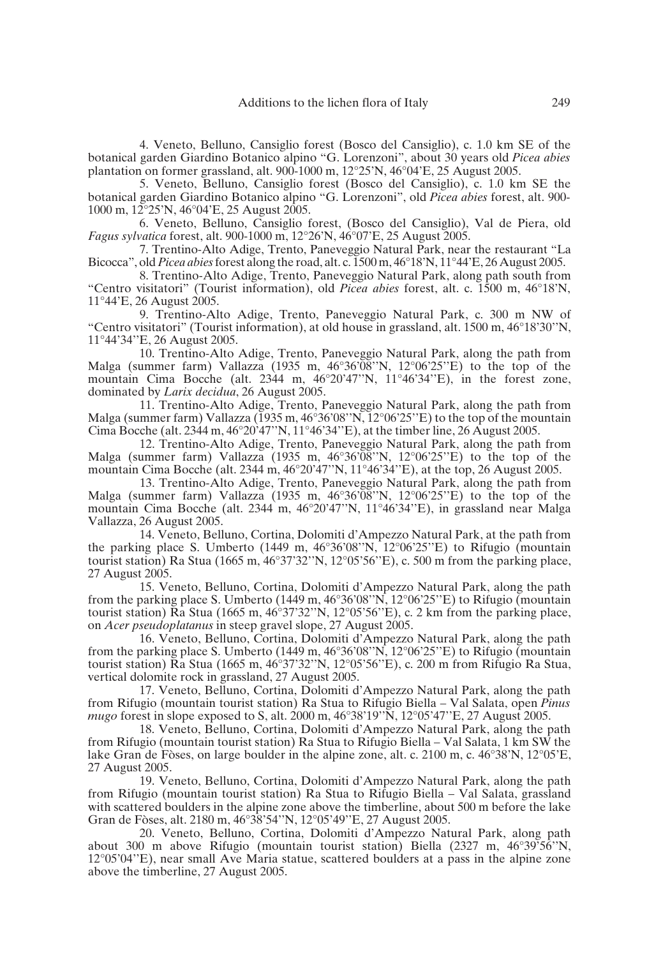4. Veneto, Belluno, Cansiglio forest (Bosco del Cansiglio), c. 1.0 km SE of the botanical garden Giardino Botanico alpino "G. Lorenzoni", about 30 years old *Picea abies* plantation on former grassland, alt. 900-1000 m, 12°25'N, 46°04'E, 25 August 2005.

5. Veneto, Belluno, Cansiglio forest (Bosco del Cansiglio), c. 1.0 km SE the botanical garden Giardino Botanico alpino "G. Lorenzoni", old *Picea abies* forest, alt. 900- 1000 m, 12°25'N, 46°04'E, 25 August 2005.

6. Veneto, Belluno, Cansiglio forest, (Bosco del Cansiglio), Val de Piera, old *Fagus sylvatica* forest, alt. 900-1000 m, 12°26'N, 46°07'E, 25 August 2005.

7. Trentino-Alto Adige, Trento, Paneveggio Natural Park, near the restaurant "La Bicocca", old*Picea abies*forest along the road, alt. c. 1500 m, 46°18'N, 11°44'E, 26 August 2005.

8. Trentino-Alto Adige, Trento, Paneveggio Natural Park, along path south from "Centro visitatori" (Tourist information), old *Picea abies* forest, alt. c. 1500 m, 46°18'N, 11°44'E, 26 August 2005.

9. Trentino-Alto Adige, Trento, Paneveggio Natural Park, c. 300 m NW of "Centro visitatori" (Tourist information), at old house in grassland, alt. 1500 m, 46°18'30''N, 11°44'34''E, 26 August 2005.

10. Trentino-Alto Adige, Trento, Paneveggio Natural Park, along the path from Malga (summer farm) Vallazza (1935 m,  $46^{\circ}36^{\circ}08^{\circ}$ N,  $12^{\circ}06^{\circ}25^{\circ}$ E) to the top of the mountain Cima Bocche (alt. 2344 m, 46°20'47"N, 11°46'34"E), in the forest zone, dominated by *Larix decidua*, 26 August 2005.

11. Trentino-Alto Adige, Trento, Paneveggio Natural Park, along the path from Malga (summer farm) Vallazza (1935 m,  $46^{\circ}36'08''N$ ,  $12^{\circ}06'25''E$ ) to the top of the mountain Cima Bocche (alt. 2344 m,  $46^{\circ}20^{\circ}47^{\prime\prime}$ N,  $11^{\circ}46^{\prime}34^{\prime\prime}$ E), at the timber line, 26 August 2005.

12. Trentino-Alto Adige, Trento, Paneveggio Natural Park, along the path from Malga (summer farm) Vallazza (1935 m, 46°36'08''N, 12°06'25''E) to the top of the mountain Cima Bocche (alt. 2344 m, 46°20'47''N, 11°46'34''E), at the top, 26 August 2005.

13. Trentino-Alto Adige, Trento, Paneveggio Natural Park, along the path from Malga (summer farm) Vallazza (1935 m, 46°36'08''N, 12°06'25''E) to the top of the mountain Cima Bocche (alt. 2344 m, 46°20'47''N, 11°46'34''E), in grassland near Malga Vallazza, 26 August 2005.

14. Veneto, Belluno, Cortina, Dolomiti d'Ampezzo Natural Park, at the path from the parking place S. Umberto (1449 m, 46°36'08''N, 12°06'25''E) to Rifugio (mountain tourist station) Ra Stua (1665 m, 46°37'32''N, 12°05'56''E), c. 500 m from the parking place, 27 August 2005.

15. Veneto, Belluno, Cortina, Dolomiti d'Ampezzo Natural Park, along the path from the parking place S. Umberto (1449 m, 46°36'08''N, 12°06'25''E) to Rifugio (mountain tourist station) Ra Stua (1665 m, 46°37'32''N, 12°05'56''E), c. 2 km from the parking place, on *Acer pseudoplatanus* in steep gravel slope, 27 August 2005.

16. Veneto, Belluno, Cortina, Dolomiti d'Ampezzo Natural Park, along the path from the parking place S. Umberto (1449 m,  $46^{\circ}36'08''N$ ,  $12^{\circ}06'25''E$ ) to Rifugio (mountain tourist station) Ra Stua (1665 m, 46°37'32''N, 12°05'56''E), c. 200 m from Rifugio Ra Stua, vertical dolomite rock in grassland, 27 August 2005.

17. Veneto, Belluno, Cortina, Dolomiti d'Ampezzo Natural Park, along the path from Rifugio (mountain tourist station) Ra Stua to Rifugio Biella – Val Salata, open *Pinus mugo* forest in slope exposed to S, alt. 2000 m, 46°38'19''N, 12°05'47''E, 27 August 2005.

18. Veneto, Belluno, Cortina, Dolomiti d'Ampezzo Natural Park, along the path from Rifugio (mountain tourist station) Ra Stua to Rifugio Biella – Val Salata, 1 km SW the lake Gran de Fòses, on large boulder in the alpine zone, alt. c. 2100 m, c. 46°38'N, 12°05'E, 27 August 2005.

19. Veneto, Belluno, Cortina, Dolomiti d'Ampezzo Natural Park, along the path from Rifugio (mountain tourist station) Ra Stua to Rifugio Biella – Val Salata, grassland with scattered boulders in the alpine zone above the timberline, about 500 m before the lake Gran de Fòses, alt. 2180 m, 46°38'54''N, 12°05'49''E, 27 August 2005.

20. Veneto, Belluno, Cortina, Dolomiti d'Ampezzo Natural Park, along path about 300 m above Rifugio (mountain tourist station) Biella (2327 m, 46°39'56''N, 12°05'04''E), near small Ave Maria statue, scattered boulders at a pass in the alpine zone above the timberline, 27 August 2005.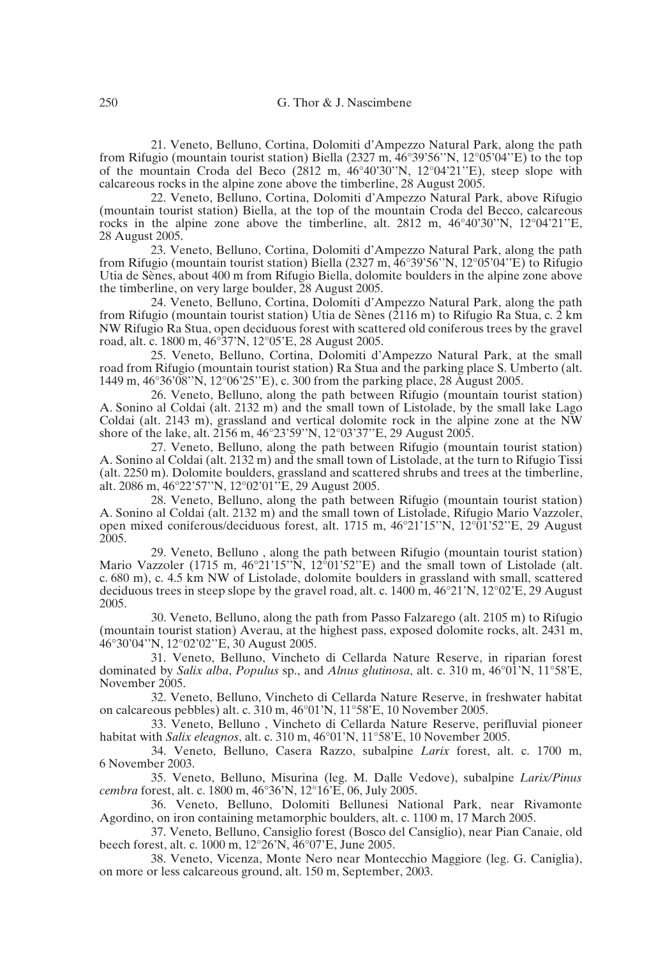21. Veneto, Belluno, Cortina, Dolomiti d'Ampezzo Natural Park, along the path from Rifugio (mountain tourist station) Biella (2327 m,  $46^{\circ}39^{\circ}56^{\prime\prime}N$ ,  $12^{\circ}05^{\prime}04^{\prime\prime}E$ ) to the top of the mountain Croda del Beco (2812 m,  $46^{\circ}40^{\prime}30^{\prime\prime}N$ , 12°04'21''E), steep slope with calcareous rocks in the alpine zone above the timberline, 28 August 2005.

22. Veneto, Belluno, Cortina, Dolomiti d'Ampezzo Natural Park, above Rifugio (mountain tourist station) Biella, at the top of the mountain Croda del Becco, calcareous rocks in the alpine zone above the timberline, alt. 2812 m, 46°40'30''N, 12°04'21''E, 28 August 2005.

23. Veneto, Belluno, Cortina, Dolomiti d'Ampezzo Natural Park, along the path from Rifugio (mountain tourist station) Biella (2327 m, 46°39'56''N, 12°05'04''E) to Rifugio Utia de Sènes, about 400 m from Rifugio Biella, dolomite boulders in the alpine zone above the timberline, on very large boulder, 28 August 2005.

24. Veneto, Belluno, Cortina, Dolomiti d'Ampezzo Natural Park, along the path from Rifugio (mountain tourist station) Utia de Sènes (2116 m) to Rifugio Ra Stua, c. 2 km NW Rifugio Ra Stua, open deciduous forest with scattered old coniferous trees by the gravel road, alt. c. 1800 m, 46°37'N, 12°05'E, 28 August 2005.

25. Veneto, Belluno, Cortina, Dolomiti d'Ampezzo Natural Park, at the small road from Rifugio (mountain tourist station) Ra Stua and the parking place S. Umberto (alt. 1449 m, 46°36'08''N, 12°06'25''E), c. 300 from the parking place, 28 August 2005.

26. Veneto, Belluno, along the path between Rifugio (mountain tourist station) A. Sonino al Coldai (alt. 2132 m) and the small town of Listolade, by the small lake Lago Coldai (alt. 2143 m), grassland and vertical dolomite rock in the alpine zone at the  $\overline{NW}$ shore of the lake, alt. 2156 m, 46°23'59''N, 12°03'37''E, 29 August 2005.

27. Veneto, Belluno, along the path between Rifugio (mountain tourist station) A. Sonino al Coldai (alt. 2132 m) and the small town of Listolade, at the turn to Rifugio Tissi (alt. 2250 m). Dolomite boulders, grassland and scattered shrubs and trees at the timberline, alt. 2086 m, 46°22'57''N, 12°02'01''E, 29 August 2005.

28. Veneto, Belluno, along the path between Rifugio (mountain tourist station) A. Sonino al Coldai (alt. 2132 m) and the small town of Listolade, Rifugio Mario Vazzoler, open mixed coniferous/deciduous forest, alt. 1715 m, 46°21'15''N, 12°01'52''E, 29 August 2005.

29. Veneto, Belluno , along the path between Rifugio (mountain tourist station) Mario Vazzoler (1715 m,  $46^{\circ}21'15''N$ ,  $12^{\circ}01'52''E$ ) and the small town of Listolade (alt. c. 680 m), c. 4.5 km NW of Listolade, dolomite boulders in grassland with small, scattered deciduous trees in steep slope by the gravel road, alt. c. 1400 m, 46°21'N, 12°02'E, 29 August 2005.

30. Veneto, Belluno, along the path from Passo Falzarego (alt. 2105 m) to Rifugio (mountain tourist station) Averau, at the highest pass, exposed dolomite rocks, alt. 2431 m, 46°30'04''N, 12°02'02''E, 30 August 2005.

31. Veneto, Belluno, Vincheto di Cellarda Nature Reserve, in riparian forest dominated by *Salix alba*, *Populus* sp., and *Alnus glutinosa*, alt. c. 310 m, 46°01'N, 11°58'E, November 2005.

32. Veneto, Belluno, Vincheto di Cellarda Nature Reserve, in freshwater habitat on calcareous pebbles) alt. c. 310 m, 46°01'N, 11°58'E, 10 November 2005.

33. Veneto, Belluno , Vincheto di Cellarda Nature Reserve, perifluvial pioneer habitat with *Salix eleagnos*, alt. c. 310 m, 46°01'N, 11°58'E, 10 November 2005.

34. Veneto, Belluno, Casera Razzo, subalpine *Larix* forest, alt. c. 1700 m, 6 November 2003.

35. Veneto, Belluno, Misurina (leg. M. Dalle Vedove), subalpine *Larix/Pinus cembra* forest, alt. c. 1800 m, 46°36'N, 12°16'E, 06, July 2005.

36. Veneto, Belluno, Dolomiti Bellunesi National Park, near Rivamonte Agordino, on iron containing metamorphic boulders, alt. c. 1100 m, 17 March 2005.

37. Veneto, Belluno, Cansiglio forest (Bosco del Cansiglio), near Pian Canaie, old beech forest, alt. c. 1000 m, 12°26'N, 46°07'E, June 2005.

38. Veneto, Vicenza, Monte Nero near Montecchio Maggiore (leg. G. Caniglia), on more or less calcareous ground, alt. 150 m, September, 2003.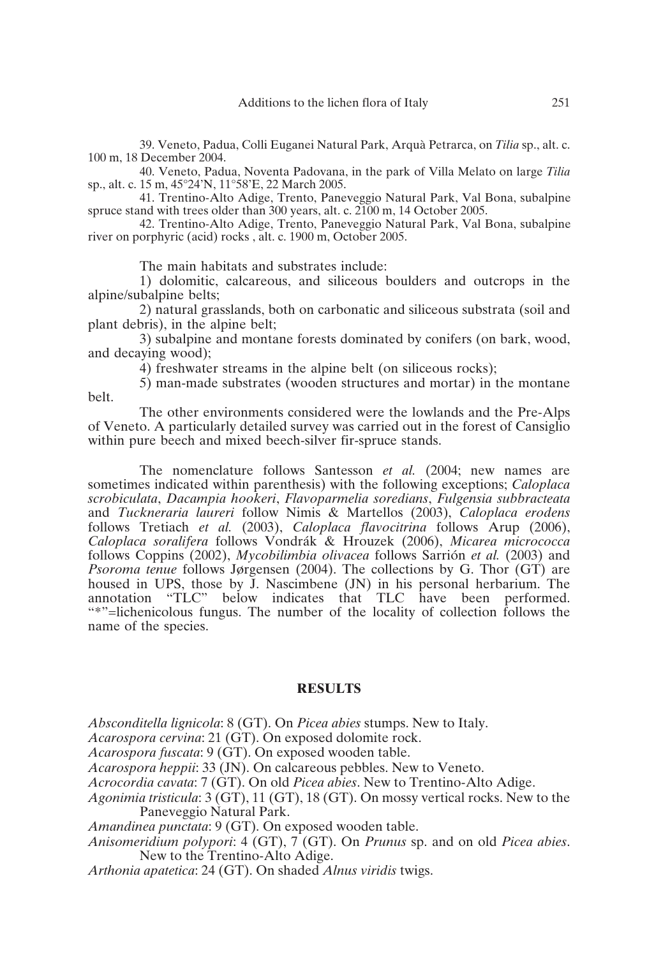39. Veneto, Padua, Colli Euganei Natural Park, Arquà Petrarca, on *Tilia* sp., alt. c. 100 m, 18 December 2004.

40. Veneto, Padua, Noventa Padovana, in the park of Villa Melato on large *Tilia* sp., alt. c. 15 m, 45°24'N, 11°58'E, 22 March 2005.

41. Trentino-Alto Adige, Trento, Paneveggio Natural Park, Val Bona, subalpine spruce stand with trees older than 300 years, alt. c. 2100 m, 14 October 2005.

42. Trentino-Alto Adige, Trento, Paneveggio Natural Park, Val Bona, subalpine river on porphyric (acid) rocks , alt. c. 1900 m, October 2005.

The main habitats and substrates include:

1) dolomitic, calcareous, and siliceous boulders and outcrops in the alpine/subalpine belts;

2) natural grasslands, both on carbonatic and siliceous substrata (soil and plant debris), in the alpine belt;

3) subalpine and montane forests dominated by conifers (on bark, wood, and decaying wood);

4) freshwater streams in the alpine belt (on siliceous rocks);

5) man-made substrates (wooden structures and mortar) in the montane belt.

The other environments considered were the lowlands and the Pre-Alps of Veneto. A particularly detailed survey was carried out in the forest of Cansiglio within pure beech and mixed beech-silver fir-spruce stands.

The nomenclature follows Santesson *et al.* (2004; new names are sometimes indicated within parenthesis) with the following exceptions; *Caloplaca scrobiculata*, *Dacampia hookeri*, *Flavoparmelia soredians*, *Fulgensia subbracteata* and *Tuckneraria laureri* follow Nimis & Martellos (2003), *Caloplaca erodens* follows Tretiach *et al.* (2003), *Caloplaca flavocitrina* follows Arup (2006), *Caloplaca soralifera* follows Vondrák & Hrouzek (2006), *Micarea micrococca* follows Coppins (2002), *Mycobilimbia olivacea* follows Sarrión *et al.* (2003) and *Psoroma tenue* follows Jørgensen (2004). The collections by G. Thor (GT) are housed in UPS, those by J. Nascimbene (JN) in his personal herbarium. The annotation "TLC" below indicates that TLC have been performed. "\*"=lichenicolous fungus. The number of the locality of collection follows the name of the species.

## **RESULTS**

*Absconditella lignicola*: 8 (GT). On *Picea abies* stumps. New to Italy.

*Acarospora cervina*: 21 (GT). On exposed dolomite rock.

*Acarospora fuscata*: 9 (GT). On exposed wooden table.

*Acarospora heppii*: 33 (JN). On calcareous pebbles. New to Veneto.

*Acrocordia cavata*: 7 (GT). On old *Picea abies*. New to Trentino-Alto Adige.

- *Agonimia tristicula*: 3 (GT), 11 (GT), 18 (GT). On mossy vertical rocks. New to the Paneveggio Natural Park.
- *Amandinea punctata*: 9 (GT). On exposed wooden table.

*Anisomeridium polypori*: 4 (GT), 7 (GT). On *Prunus* sp. and on old *Picea abies*. New to the Trentino-Alto Adige.

*Arthonia apatetica*: 24 (GT). On shaded *Alnus viridis* twigs.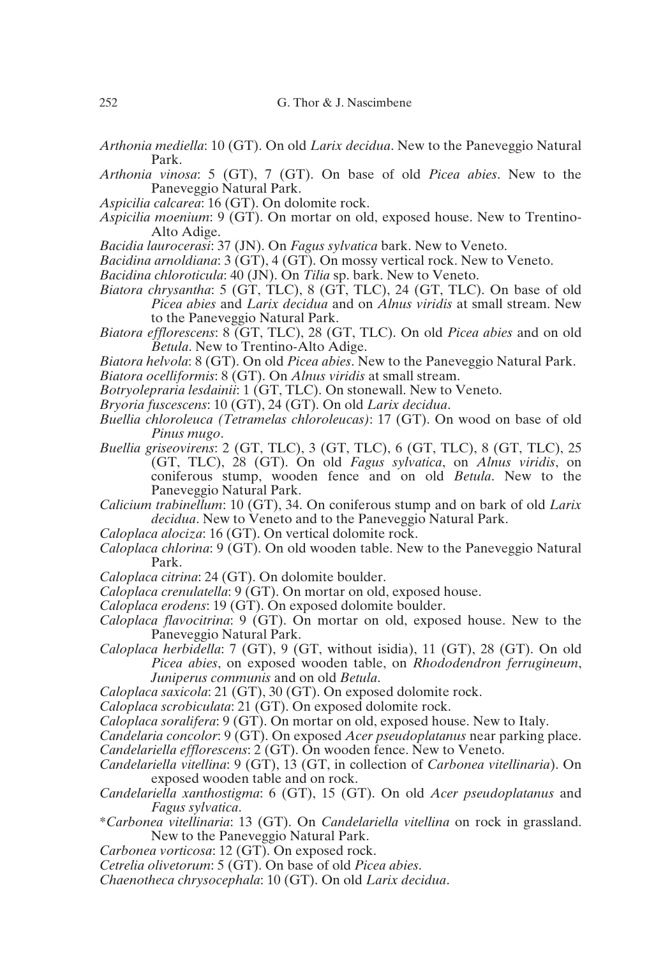- *Arthonia mediella*: 10 (GT). On old *Larix decidua*. New to the Paneveggio Natural Park.
- *Arthonia vinosa*: 5 (GT), 7 (GT). On base of old *Picea abies*. New to the Paneveggio Natural Park.
- *Aspicilia calcarea*: 16 (GT). On dolomite rock.
- *Aspicilia moenium*: 9 (GT). On mortar on old, exposed house. New to Trentino-Alto Adige.
- *Bacidia laurocerasi*: 37 (JN). On *Fagus sylvatica* bark. New to Veneto.
- *Bacidina arnoldiana*: 3 (GT), 4 (GT). On mossy vertical rock. New to Veneto.
- *Bacidina chloroticula*: 40 (JN). On *Tilia* sp. bark. New to Veneto.
- *Biatora chrysantha*: 5 (GT, TLC), 8 (GT, TLC), 24 (GT, TLC). On base of old *Picea abies* and *Larix decidua* and on *Alnus viridis* at small stream. New to the Paneveggio Natural Park.
- *Biatora efflorescens*: 8 (GT, TLC), 28 (GT, TLC). On old *Picea abies* and on old *Betula*. New to Trentino-Alto Adige.
- *Biatora helvola*: 8 (GT). On old *Picea abies*. New to the Paneveggio Natural Park.
- *Biatora ocelliformis*: 8 (GT). On *Alnus viridis* at small stream.
- *Botryolepraria lesdainii*: 1 (GT, TLC). On stonewall. New to Veneto.
- *Bryoria fuscescens*: 10 (GT), 24 (GT). On old *Larix decidua*.
- *Buellia chloroleuca (Tetramelas chloroleucas)*: 17 (GT). On wood on base of old *Pinus mugo*.
- *Buellia griseovirens*: 2 (GT, TLC), 3 (GT, TLC), 6 (GT, TLC), 8 (GT, TLC), 25 (GT, TLC), 28 (GT). On old *Fagus sylvatica*, on *Alnus viridis*, on coniferous stump, wooden fence and on old *Betula*. New to the Paneveggio Natural Park.
- *Calicium trabinellum*: 10 (GT), 34. On coniferous stump and on bark of old *Larix decidua*. New to Veneto and to the Paneveggio Natural Park.
- *Caloplaca alociza*: 16 (GT). On vertical dolomite rock.
- *Caloplaca chlorina*: 9 (GT). On old wooden table. New to the Paneveggio Natural Park.
- *Caloplaca citrina*: 24 (GT). On dolomite boulder.
- *Caloplaca crenulatella*: 9 (GT). On mortar on old, exposed house.
- *Caloplaca erodens*: 19 (GT). On exposed dolomite boulder.
- *Caloplaca flavocitrina*: 9 (GT). On mortar on old, exposed house. New to the Paneveggio Natural Park.
- *Caloplaca herbidella*: 7 (GT), 9 (GT, without isidia), 11 (GT), 28 (GT). On old *Picea abies*, on exposed wooden table, on *Rhododendron ferrugineum*, *Juniperus communis* and on old *Betula*.
- *Caloplaca saxicola*: 21 (GT), 30 (GT). On exposed dolomite rock.
- *Caloplaca scrobiculata*: 21 (GT). On exposed dolomite rock.
- *Caloplaca soralifera*: 9 (GT). On mortar on old, exposed house. New to Italy.
- *Candelaria concolor*: 9 (GT). On exposed *Acer pseudoplatanus* near parking place. *Candelariella efflorescens*: 2 (GT). On wooden fence. New to Veneto.
- *Candelariella vitellina*: 9 (GT), 13 (GT, in collection of *Carbonea vitellinaria*). On exposed wooden table and on rock.
- *Candelariella xanthostigma*: 6 (GT), 15 (GT). On old *Acer pseudoplatanus* and *Fagus sylvatica*.
- \**Carbonea vitellinaria*: 13 (GT). On *Candelariella vitellina* on rock in grassland. New to the Paneveggio Natural Park.
- *Carbonea vorticosa*: 12 (GT). On exposed rock.
- *Cetrelia olivetorum*: 5 (GT). On base of old *Picea abies*.
- *Chaenotheca chrysocephala*: 10 (GT). On old *Larix decidua*.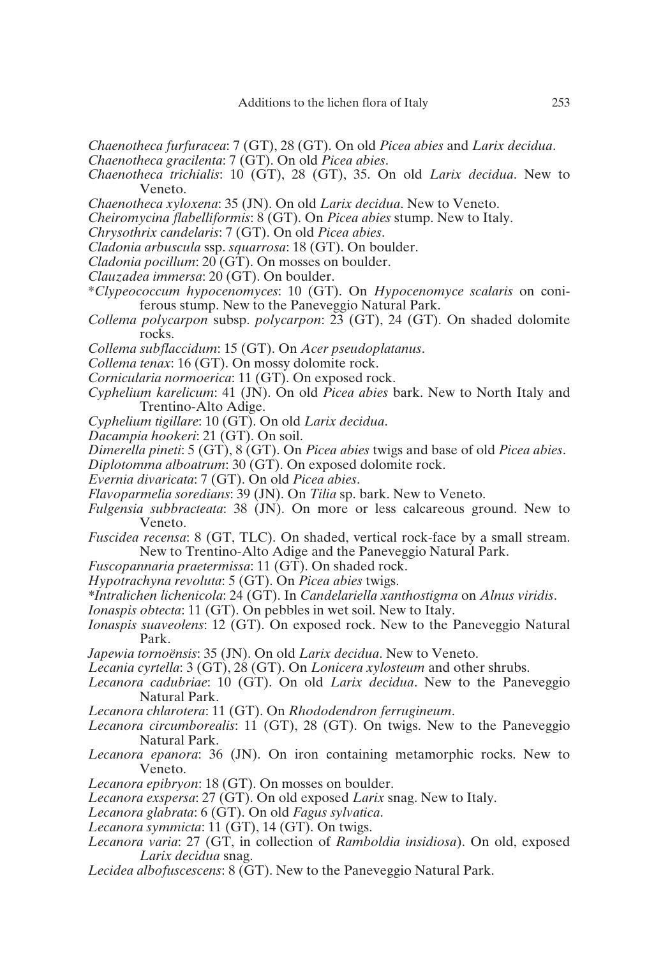*Chaenotheca furfuracea*: 7 (GT), 28 (GT). On old *Picea abies* and *Larix decidua*.

- *Chaenotheca gracilenta*: 7 (GT). On old *Picea abies*.
- *Chaenotheca trichialis*: 10 (GT), 28 (GT), 35. On old *Larix decidua*. New to Veneto.
- *Chaenotheca xyloxena*: 35 (JN). On old *Larix decidua*. New to Veneto.
- *Cheiromycina flabelliformis*: 8 (GT). On *Picea abies* stump. New to Italy.
- *Chrysothrix candelaris*: 7 (GT). On old *Picea abies*.
- *Cladonia arbuscula* ssp. *squarrosa*: 18 (GT). On boulder.
- *Cladonia pocillum*: 20 (GT). On mosses on boulder.
- *Clauzadea immersa*: 20 (GT). On boulder.
- \**Clypeococcum hypocenomyces*: 10 (GT). On *Hypocenomyce scalaris* on coniferous stump. New to the Paneveggio Natural Park.
- *Collema polycarpon* subsp. *polycarpon*: 23 (GT), 24 (GT). On shaded dolomite rocks.
- *Collema subflaccidum*: 15 (GT). On *Acer pseudoplatanus*.
- *Collema tenax*: 16 (GT). On mossy dolomite rock.
- *Cornicularia normoerica*: 11 (GT). On exposed rock.
- *Cyphelium karelicum*: 41 (JN). On old *Picea abies* bark. New to North Italy and Trentino-Alto Adige.
- *Cyphelium tigillare*: 10 (GT). On old *Larix decidua*.
- *Dacampia hookeri*: 21 (GT). On soil.
- *Dimerella pineti*: 5 (GT), 8 (GT). On *Picea abies* twigs and base of old *Picea abies*.
- *Diplotomma alboatrum*: 30 (GT). On exposed dolomite rock.
- *Evernia divaricata*: 7 (GT). On old *Picea abies*.
- *Flavoparmelia soredians*: 39 (JN). On *Tilia* sp. bark. New to Veneto.
- *Fulgensia subbracteata*: 38 (JN). On more or less calcareous ground. New to Veneto.
- *Fuscidea recensa*: 8 (GT, TLC). On shaded, vertical rock-face by a small stream. New to Trentino-Alto Adige and the Paneveggio Natural Park.
- *Fuscopannaria praetermissa*: 11 (GT). On shaded rock.
- *Hypotrachyna revoluta*: 5 (GT). On *Picea abies* twigs.
- *\*Intralichen lichenicola*: 24 (GT). In *Candelariella xanthostigma* on *Alnus viridis*.
- *Ionaspis obtecta*: 11 (GT). On pebbles in wet soil. New to Italy.
- *Ionaspis suaveolens*: 12 (GT). On exposed rock. New to the Paneveggio Natural Park.
- *Japewia tornoënsis*: 35 (JN). On old *Larix decidua*. New to Veneto.
- *Lecania cyrtella*: 3 (GT), 28 (GT). On *Lonicera xylosteum* and other shrubs.
- *Lecanora cadubriae*: 10 (GT). On old *Larix decidua*. New to the Paneveggio Natural Park.
- *Lecanora chlarotera*: 11 (GT). On *Rhododendron ferrugineum*.
- *Lecanora circumborealis*: 11 (GT), 28 (GT). On twigs. New to the Paneveggio Natural Park.
- *Lecanora epanora*: 36 (JN). On iron containing metamorphic rocks. New to Veneto.
- *Lecanora epibryon*: 18 (GT). On mosses on boulder.
- *Lecanora exspersa*: 27 (GT). On old exposed *Larix* snag. New to Italy.
- *Lecanora glabrata*: 6 (GT). On old *Fagus sylvatica*.
- *Lecanora symmicta*: 11 (GT), 14 (GT). On twigs.
- *Lecanora varia*: 27 (GT, in collection of *Ramboldia insidiosa*). On old, exposed *Larix decidua* snag.
- *Lecidea albofuscescens*: 8 (GT). New to the Paneveggio Natural Park.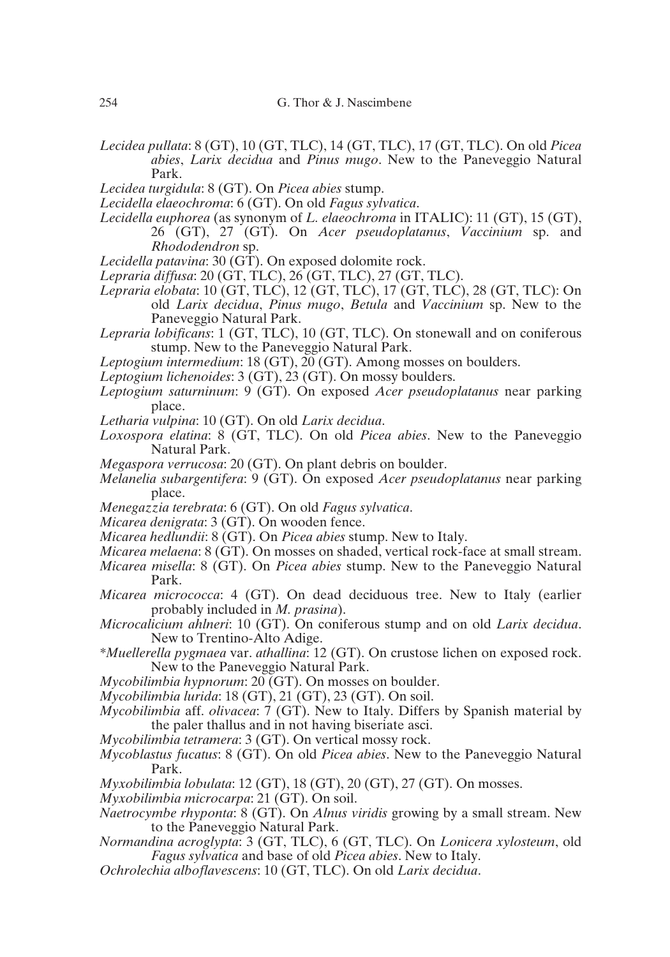- *Lecidea pullata*: 8 (GT), 10 (GT, TLC), 14 (GT, TLC), 17 (GT, TLC). On old *Picea abies*, *Larix decidua* and *Pinus mugo*. New to the Paneveggio Natural Park.
- *Lecidea turgidula*: 8 (GT). On *Picea abies* stump.
- *Lecidella elaeochroma*: 6 (GT). On old *Fagus sylvatica*.
- *Lecidella euphorea* (as synonym of *L. elaeochroma* in ITALIC): 11 (GT), 15 (GT), 26 (GT), 27 (GT). On *Acer pseudoplatanus*, *Vaccinium* sp. and *Rhododendron* sp.
- *Lecidella patavina*: 30 (GT). On exposed dolomite rock.
- *Lepraria diffusa*: 20 (GT, TLC), 26 (GT, TLC), 27 (GT, TLC).
- *Lepraria elobata*: 10 (GT, TLC), 12 (GT, TLC), 17 (GT, TLC), 28 (GT, TLC): On old *Larix decidua*, *Pinus mugo*, *Betula* and *Vaccinium* sp. New to the Paneveggio Natural Park.
- *Lepraria lobificans*: 1 (GT, TLC), 10 (GT, TLC). On stonewall and on coniferous stump. New to the Paneveggio Natural Park.
- *Leptogium intermedium*: 18 (GT), 20 (GT). Among mosses on boulders.
- *Leptogium lichenoides*: 3 (GT), 23 (GT). On mossy boulders.
- *Leptogium saturninum*: 9 (GT). On exposed *Acer pseudoplatanus* near parking place.
- *Letharia vulpina*: 10 (GT). On old *Larix decidua*.
- *Loxospora elatina*: 8 (GT, TLC). On old *Picea abies*. New to the Paneveggio Natural Park.
- *Megaspora verrucosa*: 20 (GT). On plant debris on boulder.
- *Melanelia subargentifera*: 9 (GT). On exposed *Acer pseudoplatanus* near parking place.
- *Menegazzia terebrata*: 6 (GT). On old *Fagus sylvatica*.
- *Micarea denigrata*: 3 (GT). On wooden fence.
- *Micarea hedlundii*: 8 (GT). On *Picea abies* stump. New to Italy.
- *Micarea melaena*: 8 (GT). On mosses on shaded, vertical rock-face at small stream.
- *Micarea misella*: 8 (GT). On *Picea abies* stump. New to the Paneveggio Natural Park.
- *Micarea micrococca*: 4 (GT). On dead deciduous tree. New to Italy (earlier probably included in *M. prasina*).
- *Microcalicium ahlneri*: 10 (GT). On coniferous stump and on old *Larix decidua*. New to Trentino-Alto Adige.
- *\*Muellerella pygmaea* var. *athallina*: 12 (GT). On crustose lichen on exposed rock. New to the Paneveggio Natural Park.
- *Mycobilimbia hypnorum*: 20 (GT). On mosses on boulder.
- *Mycobilimbia lurida*: 18 (GT), 21 (GT), 23 (GT). On soil.
- *Mycobilimbia* aff. *olivacea*: 7 (GT). New to Italy. Differs by Spanish material by the paler thallus and in not having biseriate asci.
- *Mycobilimbia tetramera*: 3 (GT). On vertical mossy rock.
- *Mycoblastus fucatus*: 8 (GT). On old *Picea abies*. New to the Paneveggio Natural Park.
- *Myxobilimbia lobulata*: 12 (GT), 18 (GT), 20 (GT), 27 (GT). On mosses.
- *Myxobilimbia microcarpa*: 21 (GT). On soil.
- *Naetrocymbe rhyponta*: 8 (GT). On *Alnus viridis* growing by a small stream. New to the Paneveggio Natural Park.
- *Normandina acroglypta*: 3 (GT, TLC), 6 (GT, TLC). On *Lonicera xylosteum*, old *Fagus sylvatica* and base of old *Picea abies*. New to Italy.
- *Ochrolechia alboflavescens*: 10 (GT, TLC). On old *Larix decidua*.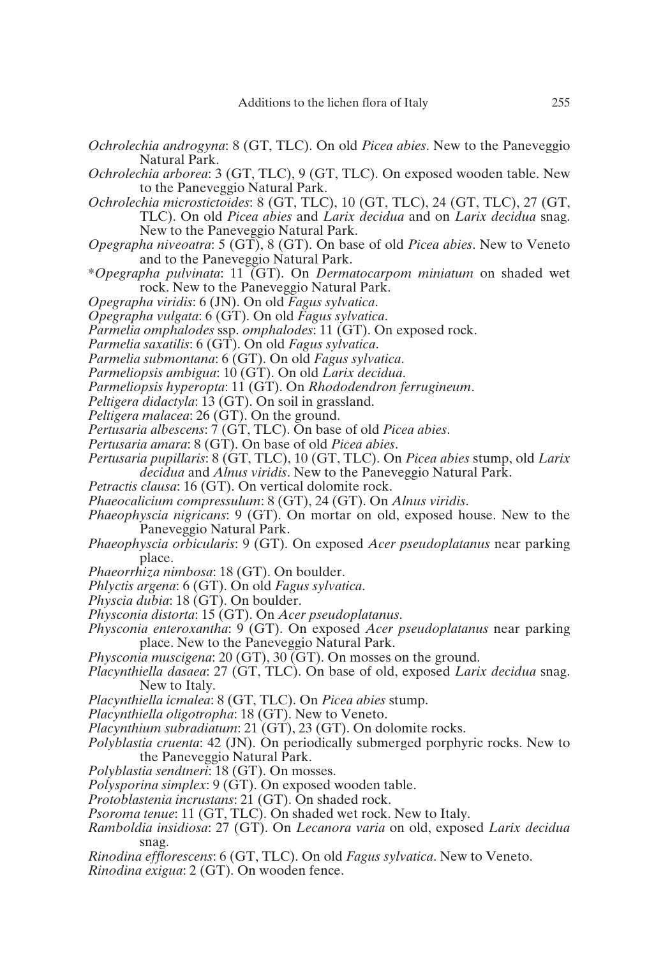- *Ochrolechia androgyna*: 8 (GT, TLC). On old *Picea abies*. New to the Paneveggio Natural Park.
- *Ochrolechia arborea*: 3 (GT, TLC), 9 (GT, TLC). On exposed wooden table. New to the Paneveggio Natural Park.
- *Ochrolechia microstictoides*: 8 (GT, TLC), 10 (GT, TLC), 24 (GT, TLC), 27 (GT, TLC). On old *Picea abies* and *Larix decidua* and on *Larix decidua* snag. New to the Paneveggio Natural Park.
- *Opegrapha niveoatra*: 5 (GT), 8 (GT). On base of old *Picea abies*. New to Veneto and to the Paneveggio Natural Park.
- \**Opegrapha pulvinata*: 11 (GT). On *Dermatocarpom miniatum* on shaded wet rock. New to the Paneveggio Natural Park.
- *Opegrapha viridis*: 6 (JN). On old *Fagus sylvatica*.
- *Opegrapha vulgata*: 6 (GT). On old *Fagus sylvatica*.
- *Parmelia omphalodes* ssp. *omphalodes*: 11 (GT). On exposed rock.
- *Parmelia saxatilis*: 6 (GT). On old *Fagus sylvatica*.
- *Parmelia submontana*: 6 (GT). On old *Fagus sylvatica*.
- *Parmeliopsis ambigua*: 10 (GT). On old *Larix decidua*.
- *Parmeliopsis hyperopta*: 11 (GT). On *Rhododendron ferrugineum*.
- *Peltigera didactyla*: 13 (GT). On soil in grassland.
- *Peltigera malacea*: 26 (GT). On the ground.
- *Pertusaria albescens*: 7 (GT, TLC). On base of old *Picea abies*.
- *Pertusaria amara*: 8 (GT). On base of old *Picea abies*.
- *Pertusaria pupillaris*: 8 (GT, TLC), 10 (GT, TLC). On *Picea abies* stump, old *Larix decidua* and *Alnus viridis*. New to the Paneveggio Natural Park.
- *Petractis clausa*: 16 (GT). On vertical dolomite rock.
- *Phaeocalicium compressulum*: 8 (GT), 24 (GT). On *Alnus viridis*.
- *Phaeophyscia nigricans*: 9 (GT). On mortar on old, exposed house. New to the Paneveggio Natural Park.
- *Phaeophyscia orbicularis*: 9 (GT). On exposed *Acer pseudoplatanus* near parking place.
- *Phaeorrhiza nimbosa*: 18 (GT). On boulder.
- *Phlyctis argena*: 6 (GT). On old *Fagus sylvatica*.
- *Physcia dubia*: 18 (GT). On boulder.
- *Physconia distorta*: 15 (GT). On *Acer pseudoplatanus*.
- *Physconia enteroxantha*: 9 (GT). On exposed *Acer pseudoplatanus* near parking place. New to the Paneveggio Natural Park.
- *Physconia muscigena*: 20 (GT), 30 (GT). On mosses on the ground.
- *Placynthiella dasaea*: 27 (GT, TLC). On base of old, exposed *Larix decidua* snag. New to Italy.
- *Placynthiella icmalea*: 8 (GT, TLC). On *Picea abies* stump.
- *Placynthiella oligotropha*: 18 (GT). New to Veneto.
- *Placynthium subradiatum*: 21 (GT), 23 (GT). On dolomite rocks.
- *Polyblastia cruenta*: 42 (JN). On periodically submerged porphyric rocks. New to the Paneveggio Natural Park.
- *Polyblastia sendtneri*: 18 (GT). On mosses.
- *Polysporina simplex*: 9 (GT). On exposed wooden table.
- *Protoblastenia incrustans*: 21 (GT). On shaded rock.
- *Psoroma tenue*: 11 (GT, TLC). On shaded wet rock. New to Italy.
- *Ramboldia insidiosa*: 27 (GT). On *Lecanora varia* on old, exposed *Larix decidua* snag.
- *Rinodina efflorescens*: 6 (GT, TLC). On old *Fagus sylvatica*. New to Veneto.
- *Rinodina exigua*: 2 (GT). On wooden fence.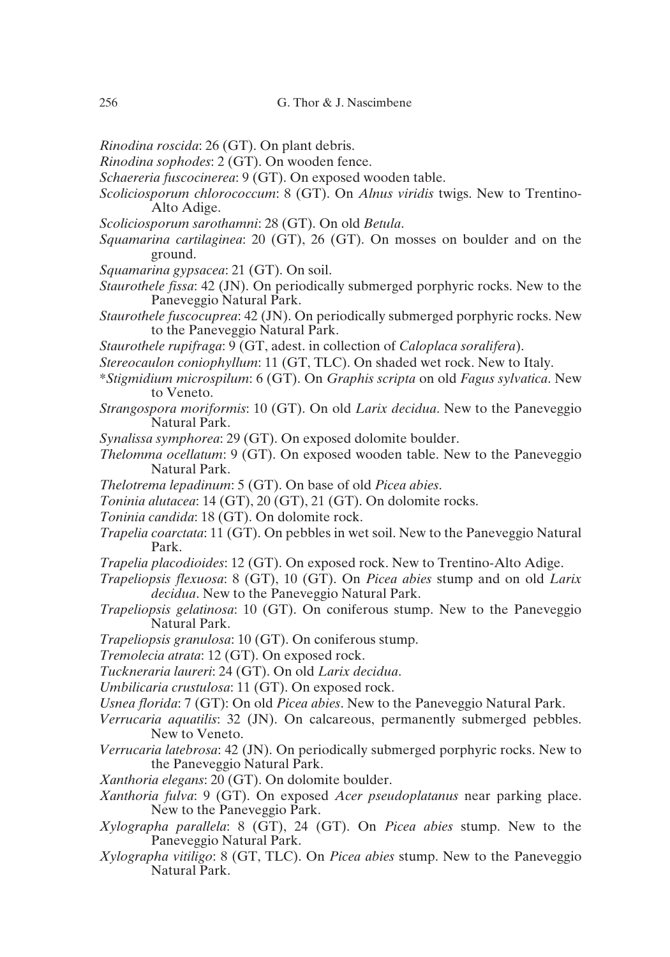- *Rinodina roscida*: 26 (GT). On plant debris.
- *Rinodina sophodes*: 2 (GT). On wooden fence.
- *Schaereria fuscocinerea*: 9 (GT). On exposed wooden table.
- *Scoliciosporum chlorococcum*: 8 (GT). On *Alnus viridis* twigs. New to Trentino-Alto Adige.
- *Scoliciosporum sarothamni*: 28 (GT). On old *Betula*.
- *Squamarina cartilaginea*: 20 (GT), 26 (GT). On mosses on boulder and on the ground.
- *Squamarina gypsacea*: 21 (GT). On soil.
- *Staurothele fissa*: 42 (JN). On periodically submerged porphyric rocks. New to the Paneveggio Natural Park.
- *Staurothele fuscocuprea*: 42 (JN). On periodically submerged porphyric rocks. New to the Paneveggio Natural Park.
- *Staurothele rupifraga*: 9 (GT, adest. in collection of *Caloplaca soralifera*).
- *Stereocaulon coniophyllum*: 11 (GT, TLC). On shaded wet rock. New to Italy.
- \**Stigmidium microspilum*: 6 (GT). On *Graphis scripta* on old *Fagus sylvatica*. New to Veneto.
- *Strangospora moriformis*: 10 (GT). On old *Larix decidua*. New to the Paneveggio Natural Park.
- *Synalissa symphorea*: 29 (GT). On exposed dolomite boulder.
- *Thelomma ocellatum*: 9 (GT). On exposed wooden table. New to the Paneveggio Natural Park.
- *Thelotrema lepadinum*: 5 (GT). On base of old *Picea abies*.
- *Toninia alutacea*: 14 (GT), 20 (GT), 21 (GT). On dolomite rocks.
- *Toninia candida*: 18 (GT). On dolomite rock.
- *Trapelia coarctata*: 11 (GT). On pebbles in wet soil. New to the Paneveggio Natural Park.
- *Trapelia placodioides*: 12 (GT). On exposed rock. New to Trentino-Alto Adige.
- *Trapeliopsis flexuosa*: 8 (GT), 10 (GT). On *Picea abies* stump and on old *Larix decidua*. New to the Paneveggio Natural Park.
- *Trapeliopsis gelatinosa*: 10 (GT). On coniferous stump. New to the Paneveggio Natural Park.
- *Trapeliopsis granulosa*: 10 (GT). On coniferous stump.
- *Tremolecia atrata*: 12 (GT). On exposed rock.
- *Tuckneraria laureri*: 24 (GT). On old *Larix decidua*.
- *Umbilicaria crustulosa*: 11 (GT). On exposed rock.
- *Usnea florida*: 7 (GT): On old *Picea abies*. New to the Paneveggio Natural Park.
- *Verrucaria aquatilis*: 32 (JN). On calcareous, permanently submerged pebbles. New to Veneto.
- *Verrucaria latebrosa*: 42 (JN). On periodically submerged porphyric rocks. New to the Paneveggio Natural Park.
- *Xanthoria elegans*: 20 (GT). On dolomite boulder.
- *Xanthoria fulva*: 9 (GT). On exposed *Acer pseudoplatanus* near parking place. New to the Paneveggio Park.
- *Xylographa parallela*: 8 (GT), 24 (GT). On *Picea abies* stump. New to the Paneveggio Natural Park.
- *Xylographa vitiligo*: 8 (GT, TLC). On *Picea abies* stump. New to the Paneveggio Natural Park.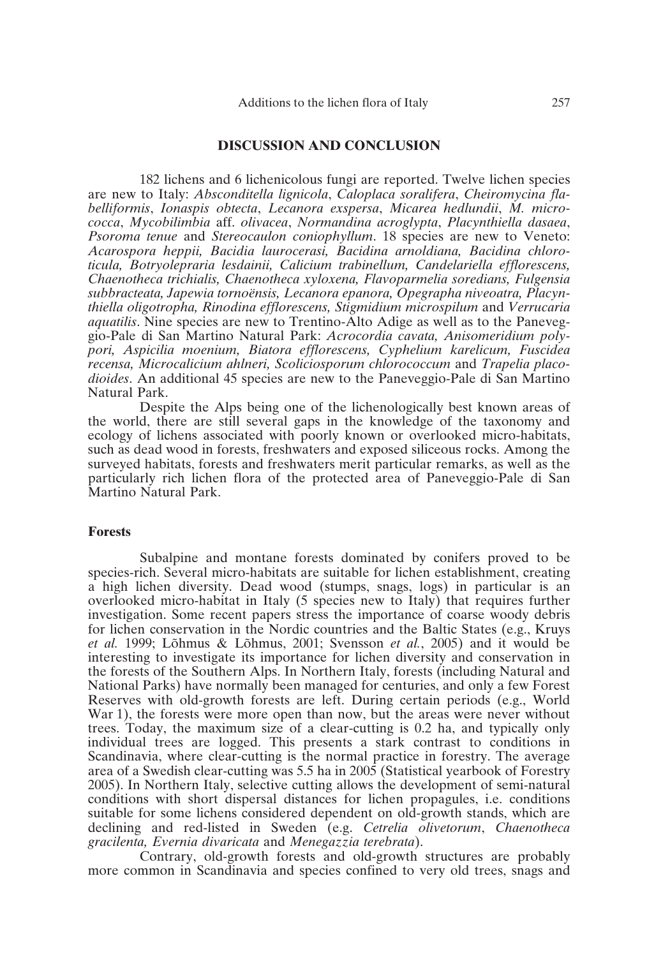### **DISCUSSION AND CONCLUSION**

182 lichens and 6 lichenicolous fungi are reported. Twelve lichen species are new to Italy: *Absconditella lignicola*, *Caloplaca soralifera*, *Cheiromycina flabelliformis*, *Ionaspis obtecta*, *Lecanora exspersa*, *Micarea hedlundii*, *M. micrococca*, *Mycobilimbia* aff. *olivacea*, *Normandina acroglypta*, *Placynthiella dasaea*, *Psoroma tenue* and *Stereocaulon coniophyllum*. 18 species are new to Veneto: *Acarospora heppii, Bacidia laurocerasi, Bacidina arnoldiana, Bacidina chloroticula, Botryolepraria lesdainii, Calicium trabinellum, Candelariella efflorescens, Chaenotheca trichialis, Chaenotheca xyloxena, Flavoparmelia soredians, Fulgensia subbracteata, Japewia tornoënsis, Lecanora epanora, Opegrapha niveoatra, Placynthiella oligotropha, Rinodina efflorescens, Stigmidium microspilum* and *Verrucaria aquatilis*. Nine species are new to Trentino-Alto Adige as well as to the Paneveggio-Pale di San Martino Natural Park: *Acrocordia cavata, Anisomeridium polypori, Aspicilia moenium, Biatora efflorescens, Cyphelium karelicum, Fuscidea recensa, Microcalicium ahlneri, Scoliciosporum chlorococcum* and *Trapelia placodioides*. An additional 45 species are new to the Paneveggio-Pale di San Martino Natural Park.

Despite the Alps being one of the lichenologically best known areas of the world, there are still several gaps in the knowledge of the taxonomy and ecology of lichens associated with poorly known or overlooked micro-habitats, such as dead wood in forests, freshwaters and exposed siliceous rocks. Among the surveyed habitats, forests and freshwaters merit particular remarks, as well as the particularly rich lichen flora of the protected area of Paneveggio-Pale di San Martino Natural Park.

#### **Forests**

Subalpine and montane forests dominated by conifers proved to be species-rich. Several micro-habitats are suitable for lichen establishment, creating a high lichen diversity. Dead wood (stumps, snags, logs) in particular is an overlooked micro-habitat in Italy (5 species new to Italy) that requires further investigation. Some recent papers stress the importance of coarse woody debris for lichen conservation in the Nordic countries and the Baltic States (e.g., Kruys *et al.* 1999; Lõhmus & Lõhmus, 2001; Svensson *et al.*, 2005) and it would be interesting to investigate its importance for lichen diversity and conservation in the forests of the Southern Alps. In Northern Italy, forests (including Natural and National Parks) have normally been managed for centuries, and only a few Forest Reserves with old-growth forests are left. During certain periods (e.g., World War 1), the forests were more open than now, but the areas were never without trees. Today, the maximum size of a clear-cutting is 0.2 ha, and typically only individual trees are logged. This presents a stark contrast to conditions in Scandinavia, where clear-cutting is the normal practice in forestry. The average area of a Swedish clear-cutting was 5.5 ha in 2005 (Statistical yearbook of Forestry 2005). In Northern Italy, selective cutting allows the development of semi-natural conditions with short dispersal distances for lichen propagules, i.e. conditions suitable for some lichens considered dependent on old-growth stands, which are declining and red-listed in Sweden (e.g. *Cetrelia olivetorum*, *Chaenotheca gracilenta, Evernia divaricata* and *Menegazzia terebrata*).

Contrary, old-growth forests and old-growth structures are probably more common in Scandinavia and species confined to very old trees, snags and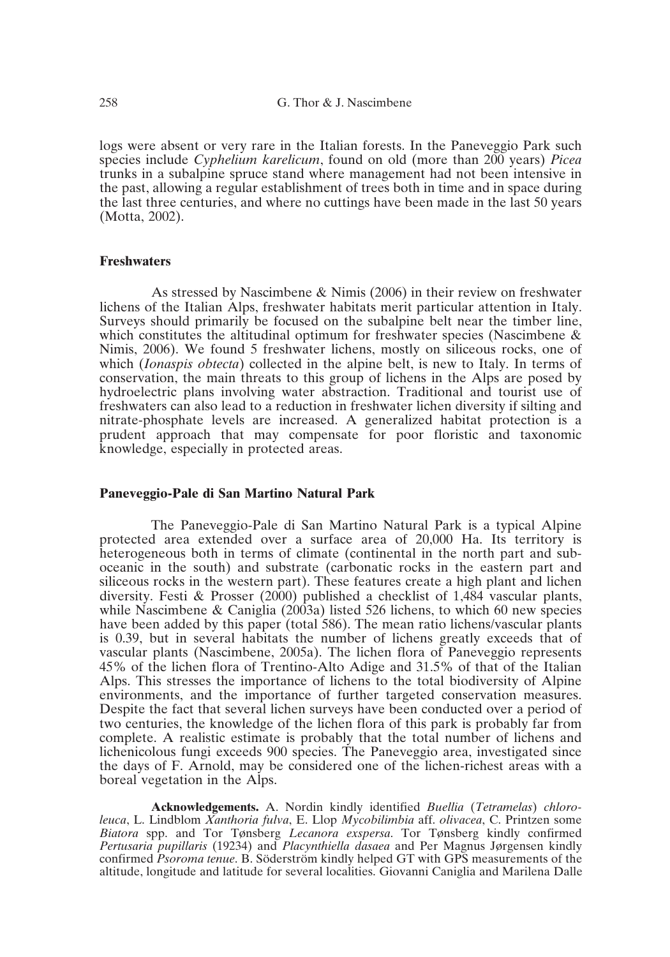logs were absent or very rare in the Italian forests. In the Paneveggio Park such species include *Cyphelium karelicum*, found on old (more than 200 years) *Picea* trunks in a subalpine spruce stand where management had not been intensive in the past, allowing a regular establishment of trees both in time and in space during the last three centuries, and where no cuttings have been made in the last 50 years (Motta, 2002).

#### **Freshwaters**

As stressed by Nascimbene & Nimis (2006) in their review on freshwater lichens of the Italian Alps, freshwater habitats merit particular attention in Italy. Surveys should primarily be focused on the subalpine belt near the timber line, which constitutes the altitudinal optimum for freshwater species (Nascimbene & Nimis, 2006). We found 5 freshwater lichens, mostly on siliceous rocks, one of which (*Ionaspis obtecta*) collected in the alpine belt, is new to Italy. In terms of conservation, the main threats to this group of lichens in the Alps are posed by hydroelectric plans involving water abstraction. Traditional and tourist use of freshwaters can also lead to a reduction in freshwater lichen diversity if silting and nitrate-phosphate levels are increased. A generalized habitat protection is a prudent approach that may compensate for poor floristic and taxonomic knowledge, especially in protected areas.

#### **Paneveggio-Pale di San Martino Natural Park**

The Paneveggio-Pale di San Martino Natural Park is a typical Alpine protected area extended over a surface area of 20,000 Ha. Its territory is heterogeneous both in terms of climate (continental in the north part and suboceanic in the south) and substrate (carbonatic rocks in the eastern part and siliceous rocks in the western part). These features create a high plant and lichen diversity. Festi & Prosser (2000) published a checklist of 1,484 vascular plants, while Nascimbene & Caniglia (2003a) listed 526 lichens, to which 60 new species have been added by this paper (total 586). The mean ratio lichens/vascular plants is 0.39, but in several habitats the number of lichens greatly exceeds that of vascular plants (Nascimbene, 2005a). The lichen flora of Paneveggio represents 45% of the lichen flora of Trentino-Alto Adige and 31.5% of that of the Italian Alps. This stresses the importance of lichens to the total biodiversity of Alpine environments, and the importance of further targeted conservation measures. Despite the fact that several lichen surveys have been conducted over a period of two centuries, the knowledge of the lichen flora of this park is probably far from complete. A realistic estimate is probably that the total number of lichens and lichenicolous fungi exceeds 900 species. The Paneveggio area, investigated since the days of F. Arnold, may be considered one of the lichen-richest areas with a boreal vegetation in the Alps.

**Acknowledgements.** A. Nordin kindly identified *Buellia* (*Tetramelas*) *chloroleuca*, L. Lindblom *Xanthoria fulva*, E. Llop *Mycobilimbia* aff. *olivacea*, C. Printzen some *Biatora* spp. and Tor Tønsberg *Lecanora exspersa*. Tor Tønsberg kindly confirmed *Pertusaria pupillaris* (19234) and *Placynthiella dasaea* and Per Magnus Jørgensen kindly confirmed *Psoroma tenue*. B. Söderström kindly helped GT with GPS measurements of the altitude, longitude and latitude for several localities. Giovanni Caniglia and Marilena Dalle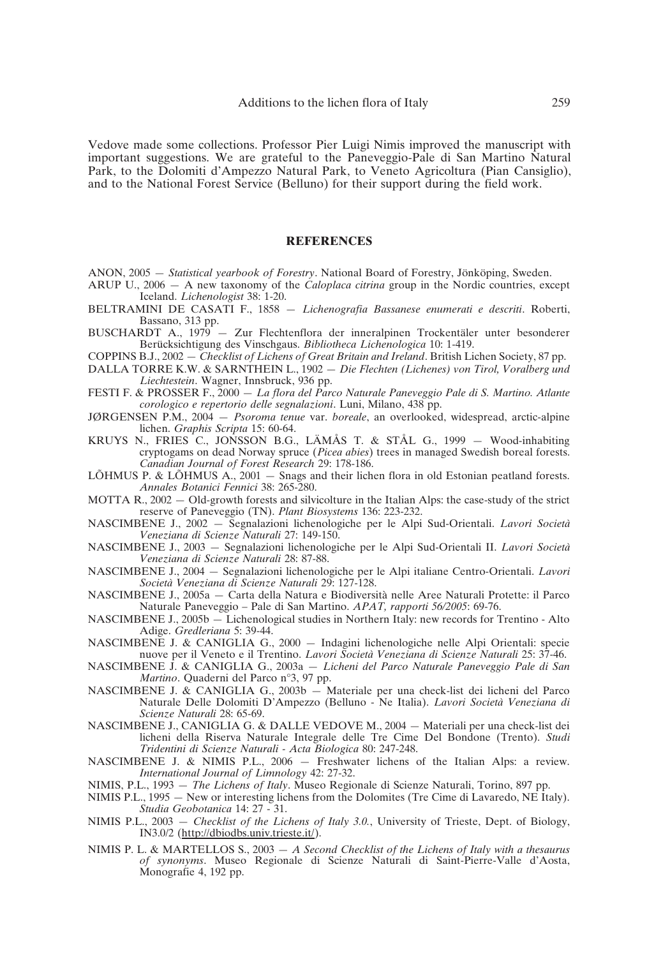Vedove made some collections. Professor Pier Luigi Nimis improved the manuscript with important suggestions. We are grateful to the Paneveggio-Pale di San Martino Natural Park, to the Dolomiti d'Ampezzo Natural Park, to Veneto Agricoltura (Pian Cansiglio), and to the National Forest Service (Belluno) for their support during the field work.

#### **REFERENCES**

- ANON, 2005 *Statistical yearbook of Forestry*. National Board of Forestry, Jönköping, Sweden.
- ARUP U., 2006 A new taxonomy of the *Caloplaca citrina* group in the Nordic countries, except Iceland. *Lichenologist* 38: 1-20.
- BELTRAMINI DE CASATI F., 1858 *Lichenografia Bassanese enumerati e descriti*. Roberti, Bassano, 313 pp.
- BUSCHARDT A., 1979 Zur Flechtenflora der inneralpinen Trockentäler unter besonderer Berücksichtigung des Vinschgaus. *Bibliotheca Lichenologica* 10: 1-419.
- COPPINS B.J., 2002 *Checklist of Lichens of Great Britain and Ireland*. British Lichen Society, 87 pp.
- DALLA TORRE K.W. & SARNTHEIN L., 1902 *Die Flechten (Lichenes) von Tirol, Voralberg und Liechtestein*. Wagner, Innsbruck, 936 pp.
- FESTI F. & PROSSER F., 2000 *La flora del Parco Naturale Paneveggio Pale di S. Martino. Atlante corologico e repertorio delle segnalazioni*. Luni, Milano, 438 pp.
- JØRGENSEN P.M., 2004 *Psoroma tenue* var. *boreale*, an overlooked, widespread, arctic-alpine lichen. *Graphis Scripta* 15: 60-64.
- KRUYS N., FRIES C., JONSSON B.G., LÄMÅS T. & STÅL G., 1999 Wood-inhabiting cryptogams on dead Norway spruce (*Picea abies*) trees in managed Swedish boreal forests. *Canadian Journal of Forest Research* 29: 178-186.
- LÕHMUS P. & LÕHMUS A., 2001 Snags and their lichen flora in old Estonian peatland forests. *Annales Botanici Fennici* 38: 265-280.
- MOTTA R., 2002 Old-growth forests and silvicolture in the Italian Alps: the case-study of the strict reserve of Paneveggio (TN). *Plant Biosystems* 136: 223-232.
- NASCIMBENE J., 2002 Segnalazioni lichenologiche per le Alpi Sud-Orientali. *Lavori Società Veneziana di Scienze Naturali* 27: 149-150.
- NASCIMBENE J., 2003 Segnalazioni lichenologiche per le Alpi Sud-Orientali II. *Lavori Società Veneziana di Scienze Naturali* 28: 87-88.
- NASCIMBENE J., 2004 Segnalazioni lichenologiche per le Alpi italiane Centro-Orientali. *Lavori Società Veneziana di Scienze Naturali* 29: 127-128.
- NASCIMBENE J., 2005a Carta della Natura e Biodiversità nelle Aree Naturali Protette: il Parco Naturale Paneveggio – Pale di San Martino. *APAT, rapporti 56/2005*: 69-76.
- NASCIMBENE J., 2005b Lichenological studies in Northern Italy: new records for Trentino Alto Adige. *Gredleriana* 5: 39-44.
- NASCIMBENE J. & CANIGLIA G., 2000 Indagini lichenologiche nelle Alpi Orientali: specie nuove per il Veneto e il Trentino. *Lavori Società Veneziana di Scienze Naturali* 25: 37-46.
- NASCIMBENE J. & CANIGLIA G., 2003a *Licheni del Parco Naturale Paneveggio Pale di San Martino*. Quaderni del Parco n°3, 97 pp.
- NASCIMBENE J. & CANIGLIA G., 2003b Materiale per una check-list dei licheni del Parco Naturale Delle Dolomiti D'Ampezzo (Belluno - Ne Italia). *Lavori Società Veneziana di Scienze Naturali* 28: 65-69.
- NASCIMBENE J., CANIGLIA G. & DALLE VEDOVE M., 2004 Materiali per una check-list dei licheni della Riserva Naturale Integrale delle Tre Cime Del Bondone (Trento). *Studi Tridentini di Scienze Naturali - Acta Biologica* 80: 247-248.
- NASCIMBENE J. & NIMIS P.L., 2006 Freshwater lichens of the Italian Alps: a review. *International Journal of Limnology* 42: 27-32.
- NIMIS, P.L., 1993 *The Lichens of Italy*. Museo Regionale di Scienze Naturali, Torino, 897 pp.
- NIMIS P.L., 1995 New or interesting lichens from the Dolomites (Tre Cime di Lavaredo, NE Italy). *Studia Geobotanica* 14: 27 - 31.
- NIMIS P.L., 2003 *Checklist of the Lichens of Italy 3.0.*, University of Trieste, Dept. of Biology, IN3.0/2 (http://dbiodbs.univ.trieste.it/).
- NIMIS P. L. & MARTELLOS S., 2003 *A Second Checklist of the Lichens of Italy with a thesaurus of synonyms*. Museo Regionale di Scienze Naturali di Saint-Pierre-Valle d'Aosta, Monografie 4, 192 pp.